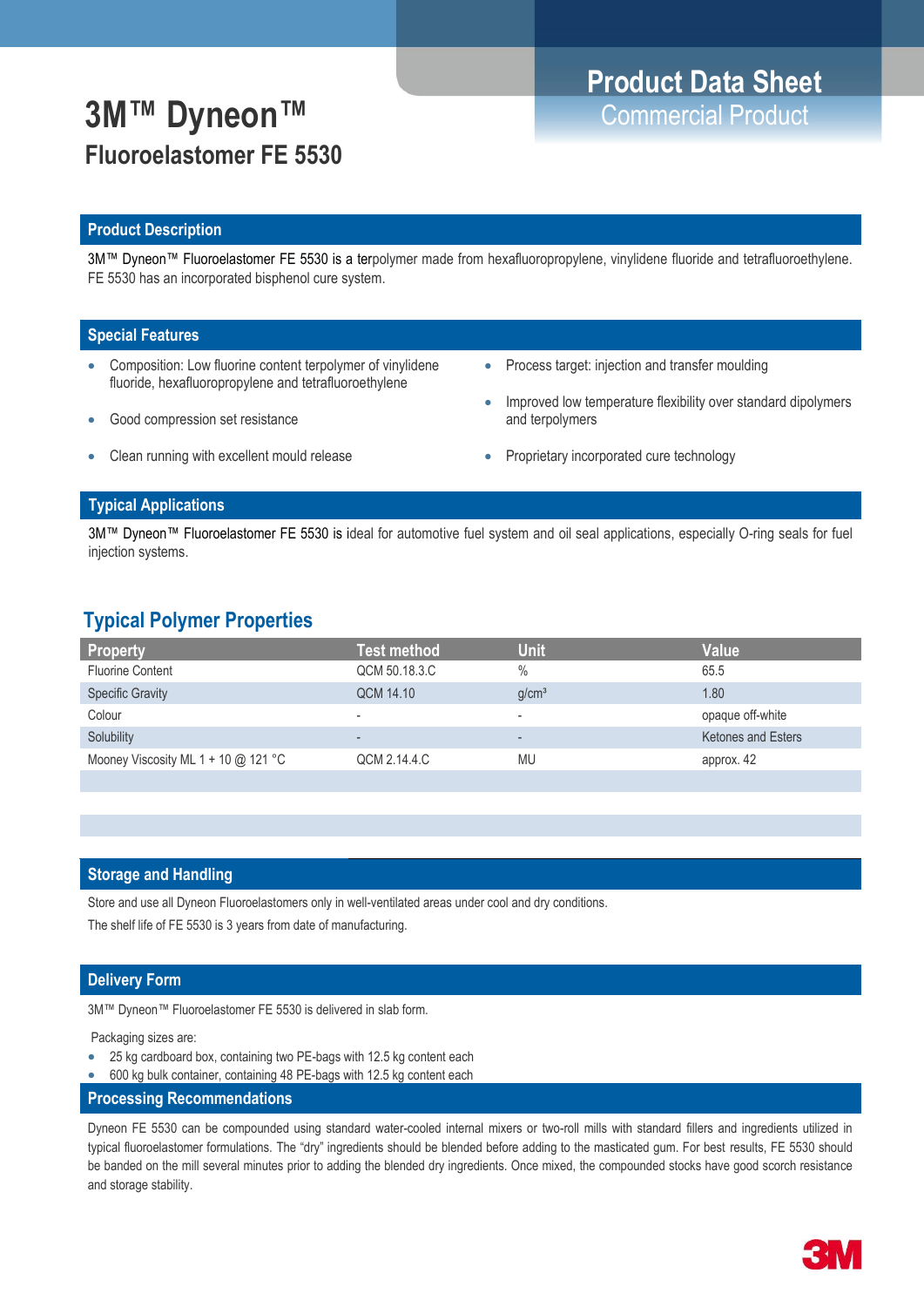## **3M™ Dyneon™** Commercial Product **Fluoroelastomer FE 5530**

# **Product Data Sheet**

## **Product Description**

3M™ Dyneon™ Fluoroelastomer FE 5530 is a terpolymer made from hexafluoropropylene, vinylidene fluoride and tetrafluoroethylene. FE 5530 has an incorporated bisphenol cure system.

## **Special Features**

- Composition: Low fluorine content terpolymer of vinylidene fluoride, hexafluoropropylene and tetrafluoroethylene
- Good compression set resistance
- Clean running with excellent mould release
- Process target: injection and transfer moulding
- Improved low temperature flexibility over standard dipolymers and terpolymers
- Proprietary incorporated cure technology

## **Typical Applications**

3M™ Dyneon™ Fluoroelastomer FE 5530 is ideal for automotive fuel system and oil seal applications, especially O-ring seals for fuel injection systems.

## **Typical Polymer Properties**

| <b>Property</b>                       | Test method              | Unit                     | Value                     |
|---------------------------------------|--------------------------|--------------------------|---------------------------|
| <b>Fluorine Content</b>               | QCM 50.18.3.C            | $\frac{0}{0}$            | 65.5                      |
| <b>Specific Gravity</b>               | QCM 14.10                | g/cm <sup>3</sup>        | 1.80                      |
| Colour                                | $\overline{\phantom{a}}$ | ٠                        | opaque off-white          |
| Solubility                            | $\overline{\phantom{a}}$ | $\overline{\phantom{a}}$ | <b>Ketones and Esters</b> |
| Mooney Viscosity ML 1 + 10 $@$ 121 °C | QCM 2.14.4.C             | MU                       | approx. 42                |
|                                       |                          |                          |                           |

## **Storage and Handling**

Store and use all Dyneon Fluoroelastomers only in well-ventilated areas under cool and dry conditions.

The shelf life of FE 5530 is 3 years from date of manufacturing.

## **Delivery Form**

3M™ Dyneon™ Fluoroelastomer FE 5530 is delivered in slab form.

Packaging sizes are:

- 25 kg cardboard box, containing two PE-bags with 12.5 kg content each
- 600 kg bulk container, containing 48 PE-bags with 12.5 kg content each
- **Processing Recommendations**

Dyneon FE 5530 can be compounded using standard water-cooled internal mixers or two-roll mills with standard fillers and ingredients utilized in typical fluoroelastomer formulations. The "dry" ingredients should be blended before adding to the masticated gum. For best results, FE 5530 should be banded on the mill several minutes prior to adding the blended dry ingredients. Once mixed, the compounded stocks have good scorch resistance and storage stability.

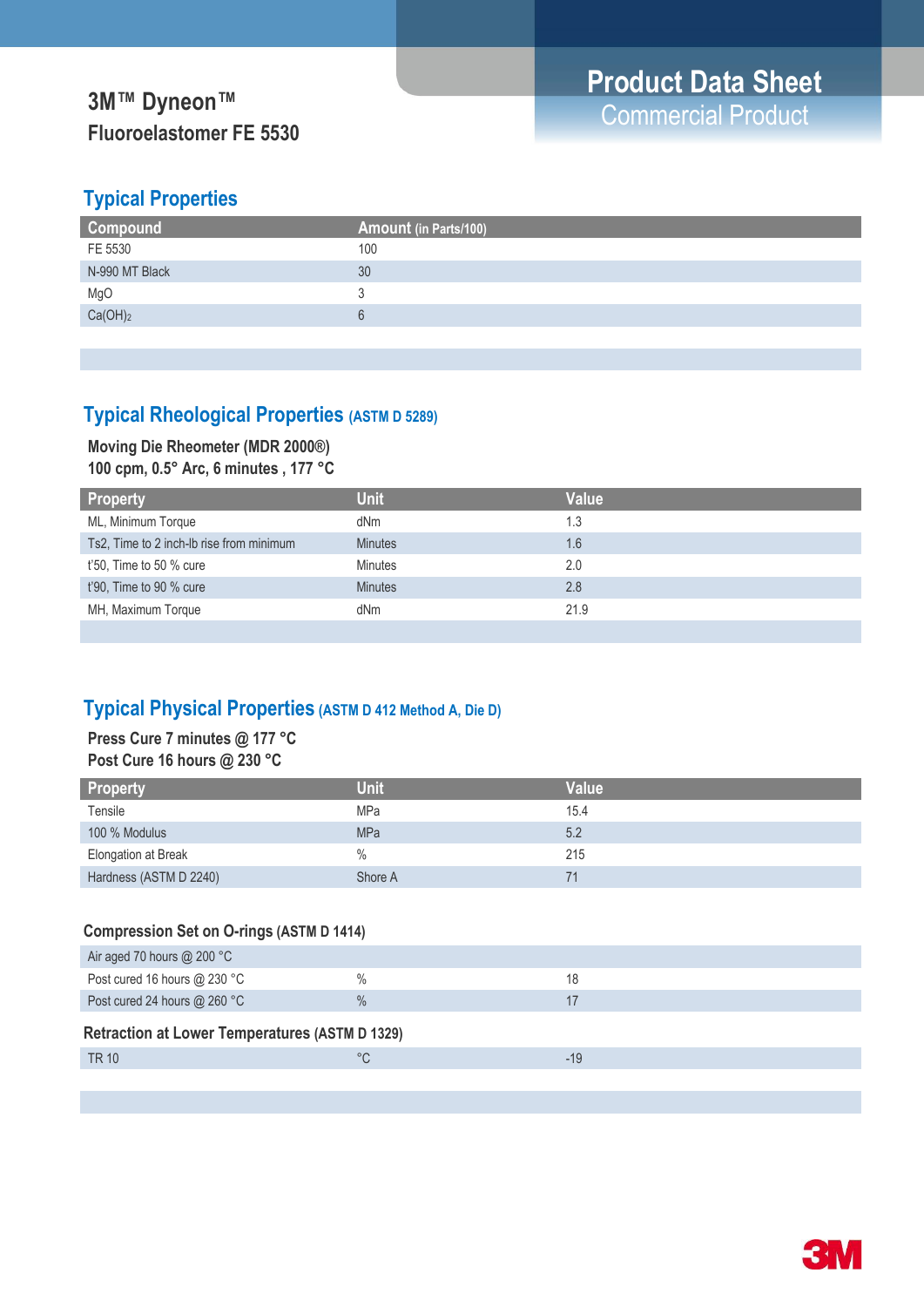# **Fluoroelastomer FE 5530**

## **Typical Properties**

| <b>Compound</b> | Amount (in Parts/100) |
|-----------------|-----------------------|
| FE 5530         | 100                   |
| N-990 MT Black  | 30                    |
| MgO             |                       |
| $Ca(OH)_2$      |                       |
|                 |                       |

## **Typical Rheological Properties (ASTM D 5289)**

## **Moving Die Rheometer (MDR 2000®)**

**100 cpm, 0.5° Arc, 6 minutes , 177 °C**

| <b>Property</b>                          | <b>Unit</b>    | <b>Value</b> |
|------------------------------------------|----------------|--------------|
| ML, Minimum Torque                       | dNm            | 1.3          |
| Ts2, Time to 2 inch-Ib rise from minimum | <b>Minutes</b> | 1.6          |
| $t'50$ , Time to 50 % cure               | <b>Minutes</b> | 2.0          |
| t'90, Time to 90 % cure                  | <b>Minutes</b> | 2.8          |
| MH, Maximum Torque                       | dNm            | 21.9         |
|                                          |                |              |

## **Typical Physical Properties (ASTM D 412 Method A, Die D)**

## **Press Cure 7 minutes @ 177 °C Post Cure 16 hours @ 230 °C**

| <b>Property</b>        | <b>Unit</b> | <b>Value</b> |
|------------------------|-------------|--------------|
| Tensile                | <b>MPa</b>  | 15.4         |
| 100 % Modulus          | <b>MPa</b>  | 5.2          |
| Elongation at Break    | $\%$        | 215          |
| Hardness (ASTM D 2240) | Shore A     |              |

## **Compression Set on O-rings (ASTM D 1414)**

| Air aged 70 hours $@$ 200 °C                          |               |       |
|-------------------------------------------------------|---------------|-------|
| Post cured 16 hours $@$ 230 °C                        | $\frac{0}{0}$ | 18    |
| Post cured 24 hours @ 260 °C                          | $\frac{0}{0}$ |       |
| <b>Retraction at Lower Temperatures (ASTM D 1329)</b> |               |       |
| TR 10                                                 | $^{\circ}C$   | $-19$ |
|                                                       |               |       |